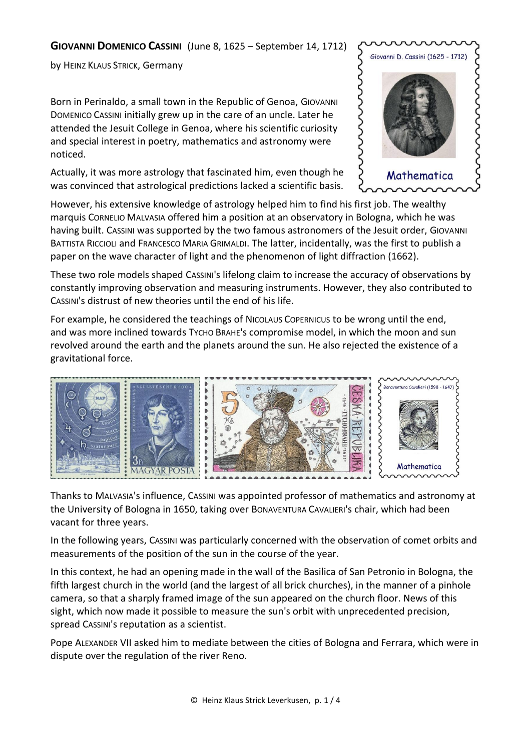## **GIOVANNI DOMENICO CASSINI** (June 8, 1625 – September 14, 1712)

by HEINZ KLAUS STRICK, Germany

Born in Perinaldo, a small town in the Republic of Genoa, GIOVANNI DOMENICO CASSINI initially grew up in the care of an uncle. Later he attended the Jesuit College in Genoa, where his scientific curiosity and special interest in poetry, mathematics and astronomy were noticed.

Actually, it was more astrology that fascinated him, even though he was convinced that astrological predictions lacked a scientific basis.



However, his extensive knowledge of astrology helped him to find his first job. The wealthy marquis CORNELIO MALVASIA offered him a position at an observatory in Bologna, which he was having built. CASSINI was supported by the two famous astronomers of the Jesuit order, GIOVANNI BATTISTA RICCIOLI and FRANCESCO MARIA GRIMALDI. The latter, incidentally, was the first to publish a paper on the wave character of light and the phenomenon of light diffraction (1662).

These two role models shaped CASSINI's lifelong claim to increase the accuracy of observations by constantly improving observation and measuring instruments. However, they also contributed to CASSINI's distrust of new theories until the end of his life.

For example, he considered the teachings of NICOLAUS COPERNICUS to be wrong until the end, and was more inclined towards TYCHO BRAHE's compromise model, in which the moon and sun revolved around the earth and the planets around the sun. He also rejected the existence of a gravitational force.



Thanks to MALVASIA's influence, CASSINI was appointed professor of mathematics and astronomy at the University of Bologna in 1650, taking over BONAVENTURA CAVALIERI's chair, which had been vacant for three years.

In the following years, CASSINI was particularly concerned with the observation of comet orbits and measurements of the position of the sun in the course of the year.

In this context, he had an opening made in the wall of the Basilica of San Petronio in Bologna, the fifth largest church in the world (and the largest of all brick churches), in the manner of a pinhole camera, so that a sharply framed image of the sun appeared on the church floor. News of this sight, which now made it possible to measure the sun's orbit with unprecedented precision, spread CASSINI's reputation as a scientist.

Pope ALEXANDER VII asked him to mediate between the cities of Bologna and Ferrara, which were in dispute over the regulation of the river Reno.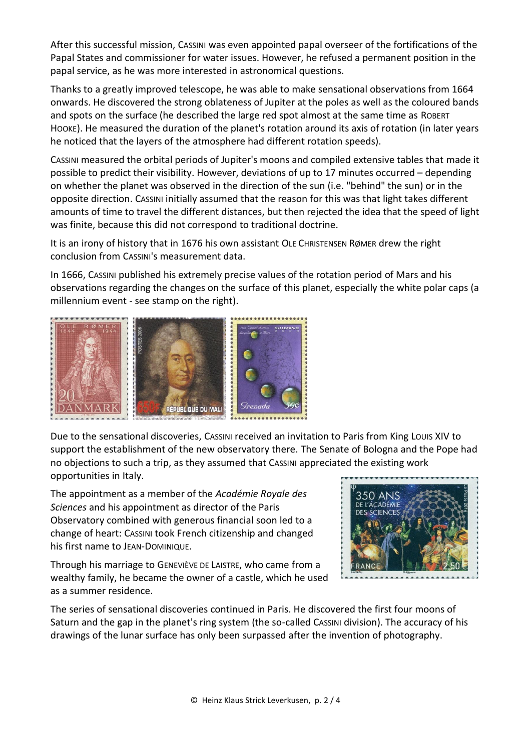After this successful mission, CASSINI was even appointed papal overseer of the fortifications of the Papal States and commissioner for water issues. However, he refused a permanent position in the papal service, as he was more interested in astronomical questions.

Thanks to a greatly improved telescope, he was able to make sensational observations from 1664 onwards. He discovered the strong oblateness of Jupiter at the poles as well as the coloured bands and spots on the surface (he described the large red spot almost at the same time as ROBERT HOOKE). He measured the duration of the planet's rotation around its axis of rotation (in later years he noticed that the layers of the atmosphere had different rotation speeds).

CASSINI measured the orbital periods of Jupiter's moons and compiled extensive tables that made it possible to predict their visibility. However, deviations of up to 17 minutes occurred – depending on whether the planet was observed in the direction of the sun (i.e. "behind" the sun) or in the opposite direction. CASSINI initially assumed that the reason for this was that light takes different amounts of time to travel the different distances, but then rejected the idea that the speed of light was finite, because this did not correspond to traditional doctrine.

It is an irony of history that in 1676 his own assistant OLE CHRISTENSEN RØMER drew the right conclusion from CASSINI's measurement data.

In 1666, CASSINI published his extremely precise values of the rotation period of Mars and his observations regarding the changes on the surface of this planet, especially the white polar caps (a millennium event - see stamp on the right).



Due to the sensational discoveries, CASSINI received an invitation to Paris from King LOUIS XIV to support the establishment of the new observatory there. The Senate of Bologna and the Pope had no objections to such a trip, as they assumed that CASSINI appreciated the existing work opportunities in Italy.

The appointment as a member of the *Académie Royale des Sciences* and his appointment as director of the Paris Observatory combined with generous financial soon led to a change of heart: CASSINI took French citizenship and changed his first name to JEAN-DOMINIQUE.

Through his marriage to GENEVIÈVE DE LAISTRE, who came from a wealthy family, he became the owner of a castle, which he used as a summer residence.



The series of sensational discoveries continued in Paris. He discovered the first four moons of Saturn and the gap in the planet's ring system (the so-called CASSINI division). The accuracy of his drawings of the lunar surface has only been surpassed after the invention of photography.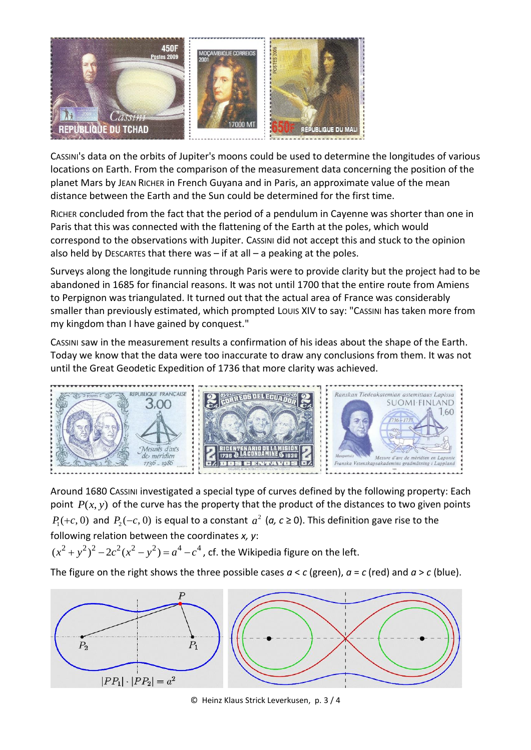

CASSINI's data on the orbits of Jupiter's moons could be used to determine the longitudes of various locations on Earth. From the comparison of the measurement data concerning the position of the planet Mars by JEAN RICHER in French Guyana and in Paris, an approximate value of the mean distance between the Earth and the Sun could be determined for the first time.

RICHER concluded from the fact that the period of a pendulum in Cayenne was shorter than one in Paris that this was connected with the flattening of the Earth at the poles, which would correspond to the observations with Jupiter. CASSINI did not accept this and stuck to the opinion also held by DESCARTES that there was  $-$  if at all  $-$  a peaking at the poles.

Surveys along the longitude running through Paris were to provide clarity but the project had to be abandoned in 1685 for financial reasons. It was not until 1700 that the entire route from Amiens to Perpignon was triangulated. It turned out that the actual area of France was considerably smaller than previously estimated, which prompted Louis XIV to say: "CASSINI has taken more from my kingdom than I have gained by conquest."

CASSINI saw in the measurement results a confirmation of his ideas about the shape of the Earth. Today we know that the data were too inaccurate to draw any conclusions from them. It was not until the Great Geodetic Expedition of 1736 that more clarity was achieved.



Around 1680 CASSINI investigated a special type of curves defined by the following property: Each point  $P(x, y)$  of the curve has the property that the product of the distances to two given points  $P_1(+c, 0)$  and  $P_2(-c, 0)$  is equal to a constant  $a^2$  (a,  $c \ge 0$ ). This definition gave rise to the following relation between the coordinates *x, y*:

Following relation between the coordinates x, y:<br> $(x^2 + y^2)^2 - 2c^2(x^2 - y^2) = a^4 - c^4$ , cf. the Wikipedia figure on the left.

The figure on the right shows the three possible cases  $a < c$  (green),  $a = c$  (red) and  $a > c$  (blue).



© Heinz Klaus Strick Leverkusen, p. 3 / 4